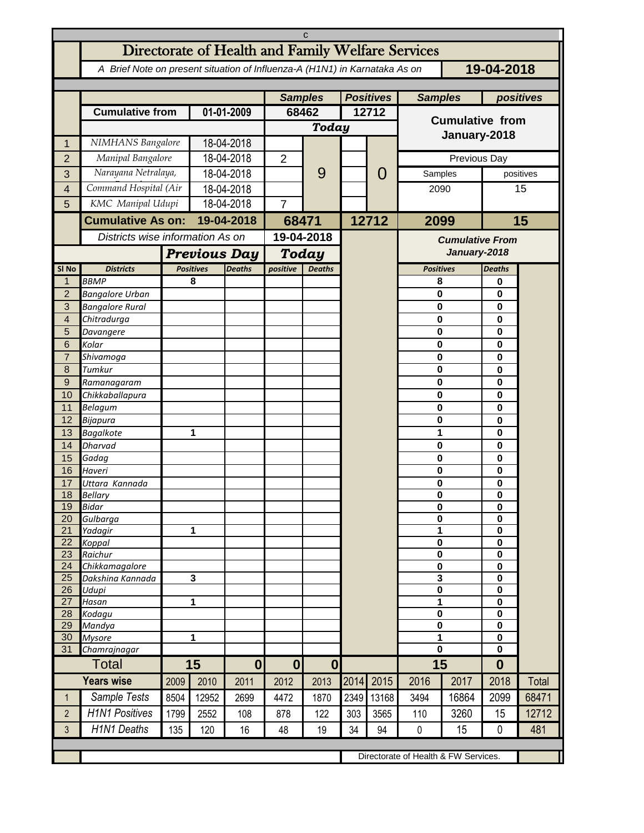| C                       |                                                                                          |                                      |                                   |                  |                |                                    |           |            |                        |                                        |                             |       |  |
|-------------------------|------------------------------------------------------------------------------------------|--------------------------------------|-----------------------------------|------------------|----------------|------------------------------------|-----------|------------|------------------------|----------------------------------------|-----------------------------|-------|--|
|                         | Directorate of Health and Family Welfare Services                                        |                                      |                                   |                  |                |                                    |           |            |                        |                                        |                             |       |  |
|                         | 19-04-2018<br>A Brief Note on present situation of Influenza-A (H1N1) in Karnataka As on |                                      |                                   |                  |                |                                    |           |            |                        |                                        |                             |       |  |
|                         |                                                                                          | <b>Samples</b>                       |                                   | <b>Positives</b> |                | <b>Samples</b>                     | positives |            |                        |                                        |                             |       |  |
|                         | <b>Cumulative from</b>                                                                   |                                      | 01-01-2009                        |                  | 68462          |                                    | 12712     |            |                        |                                        |                             |       |  |
|                         |                                                                                          |                                      |                                   |                  | Today          |                                    |           |            | <b>Cumulative from</b> |                                        |                             |       |  |
| 1                       | NIMHANS Bangalore                                                                        |                                      | 18-04-2018                        |                  |                |                                    |           |            | January-2018           |                                        |                             |       |  |
| $\overline{2}$          | Manipal Bangalore                                                                        |                                      | 18-04-2018                        |                  | $\overline{2}$ | 9                                  |           | O<br>12712 | Previous Day           |                                        |                             |       |  |
| 3                       | Narayana Netralaya,                                                                      |                                      | 18-04-2018                        |                  |                |                                    |           |            |                        | Samples<br>positives                   |                             |       |  |
| $\overline{\mathbf{4}}$ | Command Hospital (Air                                                                    |                                      | 18-04-2018                        |                  |                |                                    |           |            | 2090                   |                                        |                             | 15    |  |
| 5                       | KMC Manipal Udupi                                                                        |                                      | 18-04-2018                        |                  | 7              |                                    |           |            |                        |                                        |                             |       |  |
|                         | <b>Cumulative As on:</b>                                                                 |                                      | 19-04-2018                        |                  | 68471          |                                    |           |            | 2099                   | 15                                     |                             |       |  |
|                         |                                                                                          | Districts wise information As on     |                                   | 19-04-2018       |                |                                    |           |            |                        |                                        |                             |       |  |
|                         |                                                                                          | <b>Previous Day</b>                  |                                   |                  |                |                                    |           |            |                        | <b>Cumulative From</b><br>January-2018 |                             |       |  |
| SI <sub>No</sub>        | <b>Districts</b>                                                                         |                                      | <b>Positives</b><br><b>Deaths</b> |                  |                | Today<br>positive<br><b>Deaths</b> |           |            | <b>Positives</b>       |                                        | <b>Deaths</b>               |       |  |
| $\mathbf 1$             | <b>BBMP</b>                                                                              |                                      | 8                                 |                  |                |                                    |           |            | 8                      |                                        | 0                           |       |  |
| $\overline{2}$          | <b>Bangalore Urban</b>                                                                   |                                      |                                   |                  |                |                                    |           |            | 0                      |                                        | 0                           |       |  |
| 3                       | <b>Bangalore Rural</b>                                                                   |                                      |                                   |                  |                |                                    |           |            | 0                      |                                        | $\mathbf 0$                 |       |  |
| $\overline{4}$          | Chitradurga                                                                              |                                      |                                   |                  |                |                                    |           |            | 0                      |                                        | 0                           |       |  |
| 5                       | Davangere                                                                                |                                      |                                   |                  |                |                                    |           |            | 0                      |                                        | $\mathbf 0$                 |       |  |
| 6                       | Kolar                                                                                    |                                      |                                   |                  |                |                                    |           |            | 0                      |                                        | $\mathbf{0}$                |       |  |
| $\overline{7}$          | Shivamoga                                                                                |                                      |                                   |                  |                |                                    |           |            | 0                      |                                        | $\mathbf 0$                 |       |  |
| 8                       | Tumkur                                                                                   |                                      |                                   |                  |                |                                    |           |            | 0                      |                                        | $\mathbf{0}$                |       |  |
| $\mathsf 9$<br>10       | Ramanagaram                                                                              |                                      |                                   |                  |                |                                    |           |            | 0                      |                                        | $\mathbf 0$<br>$\mathbf{0}$ |       |  |
| 11                      | Chikkaballapura<br>Belagum                                                               |                                      |                                   |                  |                |                                    |           |            | 0<br>0                 |                                        | $\mathbf 0$                 |       |  |
| 12                      | Bijapura                                                                                 |                                      |                                   |                  |                |                                    |           |            | 0                      |                                        | $\mathbf 0$                 |       |  |
| 13                      | <b>Bagalkote</b>                                                                         |                                      | 1                                 |                  |                |                                    |           |            | 1                      |                                        | $\mathbf 0$                 |       |  |
| 14                      | Dharvad                                                                                  |                                      |                                   |                  |                |                                    |           |            | 0                      |                                        | $\mathbf 0$                 |       |  |
| 15                      | Gadag                                                                                    |                                      |                                   |                  |                |                                    |           |            | 0                      |                                        | $\mathbf 0$                 |       |  |
| 16                      | Haveri                                                                                   |                                      |                                   |                  |                |                                    |           |            | 0                      |                                        | 0                           |       |  |
| 17                      | Uttara Kannada                                                                           |                                      |                                   |                  |                |                                    |           |            | 0                      |                                        | 0                           |       |  |
| 18                      | <b>Bellarv</b>                                                                           |                                      |                                   |                  |                |                                    |           |            | $\mathbf 0$            |                                        | $\bf{0}$                    |       |  |
| 19<br>20                | <b>Bidar</b><br>Gulbarga                                                                 |                                      |                                   |                  |                |                                    |           |            | 0<br>0                 |                                        | 0<br>0                      |       |  |
| 21                      | Yadagir                                                                                  |                                      |                                   | 1                |                |                                    |           |            | 1                      |                                        | $\mathbf 0$                 |       |  |
| 22                      | Koppal                                                                                   |                                      |                                   |                  |                |                                    |           |            | $\pmb{0}$              |                                        | 0                           |       |  |
| 23                      | Raichur                                                                                  |                                      |                                   |                  |                |                                    |           |            | 0                      |                                        | $\mathbf 0$                 |       |  |
| 24                      | Chikkamagalore                                                                           |                                      |                                   |                  |                |                                    |           |            | $\bf{0}$               |                                        | $\mathbf 0$                 |       |  |
| 25                      | Dakshina Kannada                                                                         |                                      | $\mathbf{3}$                      |                  |                |                                    |           |            | 3<br>$\pmb{0}$         |                                        | $\mathbf 0$                 |       |  |
| 26<br>27                | Udupi<br>Hasan                                                                           |                                      | 1                                 |                  |                |                                    |           |            | 1                      |                                        | $\mathbf 0$<br>0            |       |  |
| 28                      | Kodagu                                                                                   |                                      |                                   |                  |                |                                    |           |            | 0                      |                                        | $\mathbf 0$                 |       |  |
| 29                      | Mandya                                                                                   |                                      |                                   |                  |                |                                    |           |            |                        | $\pmb{0}$                              |                             |       |  |
| 30                      | <b>Mysore</b>                                                                            | 1                                    |                                   |                  |                |                                    |           |            | $\overline{1}$         |                                        | $\mathbf 0$                 |       |  |
| 31                      | Chamrajnagar                                                                             |                                      |                                   |                  |                |                                    |           |            | 0                      |                                        | 0                           |       |  |
|                         | Total                                                                                    | 15                                   |                                   | $\boldsymbol{0}$ | $\mathbf{0}$   | $\boldsymbol{0}$                   |           |            | 15                     |                                        | $\bf{0}$                    |       |  |
|                         | <b>Years wise</b>                                                                        | 2009                                 | 2010                              | 2011             | 2012           | 2013                               | 2014      | 2015       | 2016                   | 2017                                   | 2018                        | Total |  |
| $\mathbf{1}$            | Sample Tests                                                                             | 8504                                 | 12952                             | 2699             | 4472           | 1870                               | 2349      | 13168      | 3494                   | 16864                                  | 2099                        | 68471 |  |
| $\overline{2}$          | <b>H1N1 Positives</b>                                                                    | 1799                                 | 2552                              | 108              | 878            | 122                                | 303       | 3565       | 110                    | 3260                                   | 15                          | 12712 |  |
| 3                       | <b>H1N1 Deaths</b>                                                                       | 135                                  | 120                               | 16               | 48             | 19                                 | 34        | 94         | 0                      | 15                                     | 0                           | 481   |  |
|                         |                                                                                          |                                      |                                   |                  |                |                                    |           |            |                        |                                        |                             |       |  |
|                         |                                                                                          | Directorate of Health & FW Services. |                                   |                  |                |                                    |           |            |                        |                                        |                             |       |  |